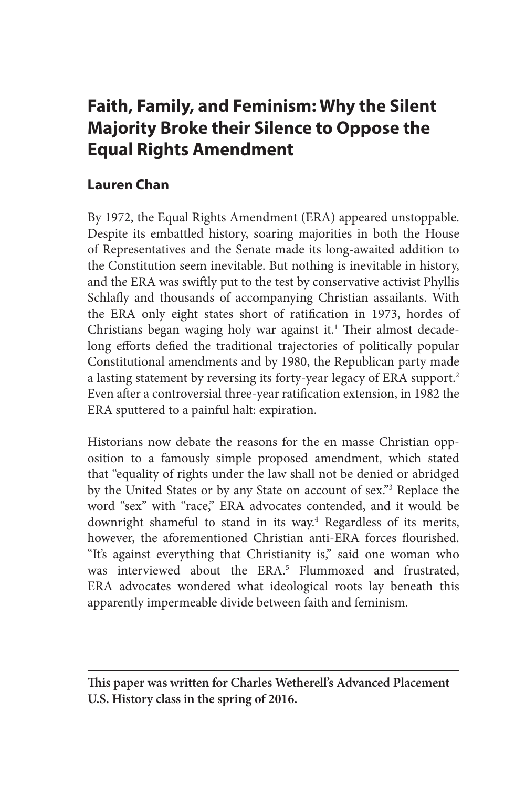# **Faith, Family, and Feminism: Why the Silent Majority Broke their Silence to Oppose the Equal Rights Amendment**

# **Lauren Chan**

By 1972, the Equal Rights Amendment (ERA) appeared unstoppable. Despite its embattled history, soaring majorities in both the House of Representatives and the Senate made its long-awaited addition to the Constitution seem inevitable. But nothing is inevitable in history, and the ERA was swiftly put to the test by conservative activist Phyllis Schlafly and thousands of accompanying Christian assailants. With the ERA only eight states short of ratification in 1973, hordes of Christians began waging holy war against it.<sup>1</sup> Their almost decadelong efforts defied the traditional trajectories of politically popular Constitutional amendments and by 1980, the Republican party made a lasting statement by reversing its forty-year legacy of ERA support.<sup>2</sup> Even after a controversial three-year ratification extension, in 1982 the ERA sputtered to a painful halt: expiration.

Historians now debate the reasons for the en masse Christian opposition to a famously simple proposed amendment, which stated that "equality of rights under the law shall not be denied or abridged by the United States or by any State on account of sex."3 Replace the word "sex" with "race," ERA advocates contended, and it would be downright shameful to stand in its way.<sup>4</sup> Regardless of its merits, however, the aforementioned Christian anti-ERA forces flourished. "It's against everything that Christianity is," said one woman who was interviewed about the ERA.5 Flummoxed and frustrated, ERA advocates wondered what ideological roots lay beneath this apparently impermeable divide between faith and feminism.

**This paper was written for Charles Wetherell's Advanced Placement U.S. History class in the spring of 2016.**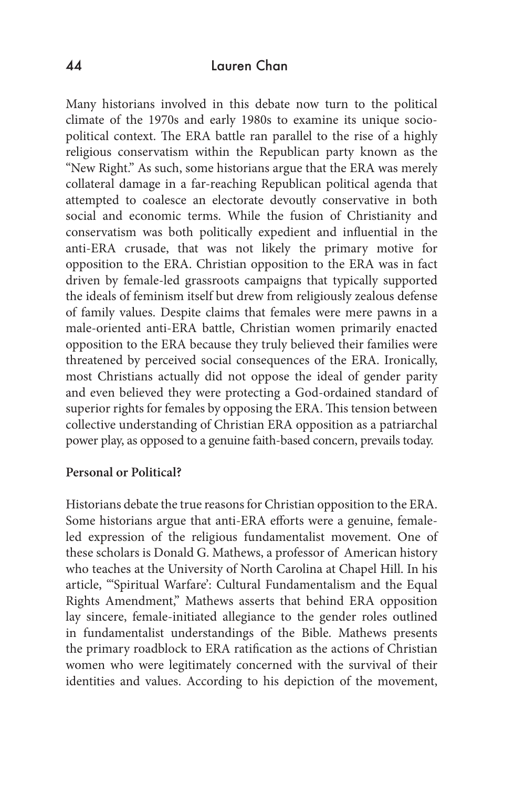Many historians involved in this debate now turn to the political climate of the 1970s and early 1980s to examine its unique sociopolitical context. The ERA battle ran parallel to the rise of a highly religious conservatism within the Republican party known as the "New Right." As such, some historians argue that the ERA was merely collateral damage in a far-reaching Republican political agenda that attempted to coalesce an electorate devoutly conservative in both social and economic terms. While the fusion of Christianity and conservatism was both politically expedient and influential in the anti-ERA crusade, that was not likely the primary motive for opposition to the ERA. Christian opposition to the ERA was in fact driven by female-led grassroots campaigns that typically supported the ideals of feminism itself but drew from religiously zealous defense of family values. Despite claims that females were mere pawns in a male-oriented anti-ERA battle, Christian women primarily enacted opposition to the ERA because they truly believed their families were threatened by perceived social consequences of the ERA. Ironically, most Christians actually did not oppose the ideal of gender parity and even believed they were protecting a God-ordained standard of superior rights for females by opposing the ERA. This tension between collective understanding of Christian ERA opposition as a patriarchal power play, as opposed to a genuine faith-based concern, prevails today.

#### **Personal or Political?**

Historians debate the true reasons for Christian opposition to the ERA. Some historians argue that anti-ERA efforts were a genuine, femaleled expression of the religious fundamentalist movement. One of these scholars is Donald G. Mathews, a professor of American history who teaches at the University of North Carolina at Chapel Hill. In his article, "'Spiritual Warfare': Cultural Fundamentalism and the Equal Rights Amendment," Mathews asserts that behind ERA opposition lay sincere, female-initiated allegiance to the gender roles outlined in fundamentalist understandings of the Bible. Mathews presents the primary roadblock to ERA ratification as the actions of Christian women who were legitimately concerned with the survival of their identities and values. According to his depiction of the movement,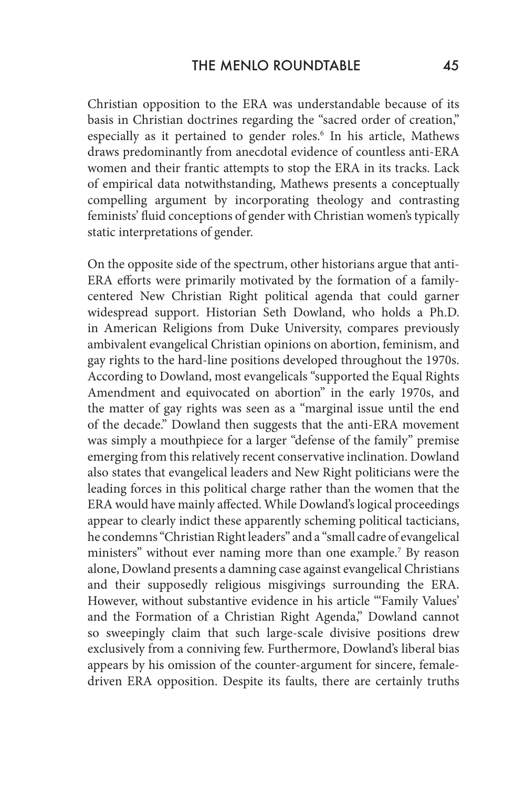Christian opposition to the ERA was understandable because of its basis in Christian doctrines regarding the "sacred order of creation," especially as it pertained to gender roles.<sup>6</sup> In his article, Mathews draws predominantly from anecdotal evidence of countless anti-ERA women and their frantic attempts to stop the ERA in its tracks. Lack of empirical data notwithstanding, Mathews presents a conceptually compelling argument by incorporating theology and contrasting feminists' fluid conceptions of gender with Christian women's typically static interpretations of gender.

On the opposite side of the spectrum, other historians argue that anti-ERA efforts were primarily motivated by the formation of a familycentered New Christian Right political agenda that could garner widespread support. Historian Seth Dowland, who holds a Ph.D. in American Religions from Duke University, compares previously ambivalent evangelical Christian opinions on abortion, feminism, and gay rights to the hard-line positions developed throughout the 1970s. According to Dowland, most evangelicals "supported the Equal Rights Amendment and equivocated on abortion" in the early 1970s, and the matter of gay rights was seen as a "marginal issue until the end of the decade." Dowland then suggests that the anti-ERA movement was simply a mouthpiece for a larger "defense of the family" premise emerging from this relatively recent conservative inclination. Dowland also states that evangelical leaders and New Right politicians were the leading forces in this political charge rather than the women that the ERA would have mainly affected. While Dowland's logical proceedings appear to clearly indict these apparently scheming political tacticians, he condemns "Christian Right leaders" and a "small cadre of evangelical ministers" without ever naming more than one example.<sup>7</sup> By reason alone, Dowland presents a damning case against evangelical Christians and their supposedly religious misgivings surrounding the ERA. However, without substantive evidence in his article "'Family Values' and the Formation of a Christian Right Agenda," Dowland cannot so sweepingly claim that such large-scale divisive positions drew exclusively from a conniving few. Furthermore, Dowland's liberal bias appears by his omission of the counter-argument for sincere, femaledriven ERA opposition. Despite its faults, there are certainly truths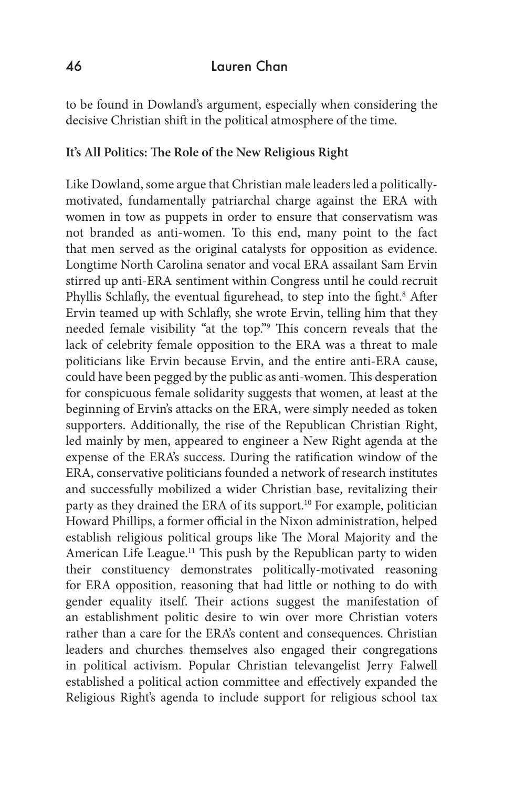to be found in Dowland's argument, especially when considering the decisive Christian shift in the political atmosphere of the time.

### **It's All Politics: The Role of the New Religious Right**

Like Dowland, some argue that Christian male leaders led a politicallymotivated, fundamentally patriarchal charge against the ERA with women in tow as puppets in order to ensure that conservatism was not branded as anti-women. To this end, many point to the fact that men served as the original catalysts for opposition as evidence. Longtime North Carolina senator and vocal ERA assailant Sam Ervin stirred up anti-ERA sentiment within Congress until he could recruit Phyllis Schlafly, the eventual figurehead, to step into the fight.<sup>8</sup> After Ervin teamed up with Schlafly, she wrote Ervin, telling him that they needed female visibility "at the top."9 This concern reveals that the lack of celebrity female opposition to the ERA was a threat to male politicians like Ervin because Ervin, and the entire anti-ERA cause, could have been pegged by the public as anti-women. This desperation for conspicuous female solidarity suggests that women, at least at the beginning of Ervin's attacks on the ERA, were simply needed as token supporters. Additionally, the rise of the Republican Christian Right, led mainly by men, appeared to engineer a New Right agenda at the expense of the ERA's success. During the ratification window of the ERA, conservative politicians founded a network of research institutes and successfully mobilized a wider Christian base, revitalizing their party as they drained the ERA of its support.<sup>10</sup> For example, politician Howard Phillips, a former official in the Nixon administration, helped establish religious political groups like The Moral Majority and the American Life League.<sup>11</sup> This push by the Republican party to widen their constituency demonstrates politically-motivated reasoning for ERA opposition, reasoning that had little or nothing to do with gender equality itself. Their actions suggest the manifestation of an establishment politic desire to win over more Christian voters rather than a care for the ERA's content and consequences. Christian leaders and churches themselves also engaged their congregations in political activism. Popular Christian televangelist Jerry Falwell established a political action committee and effectively expanded the Religious Right's agenda to include support for religious school tax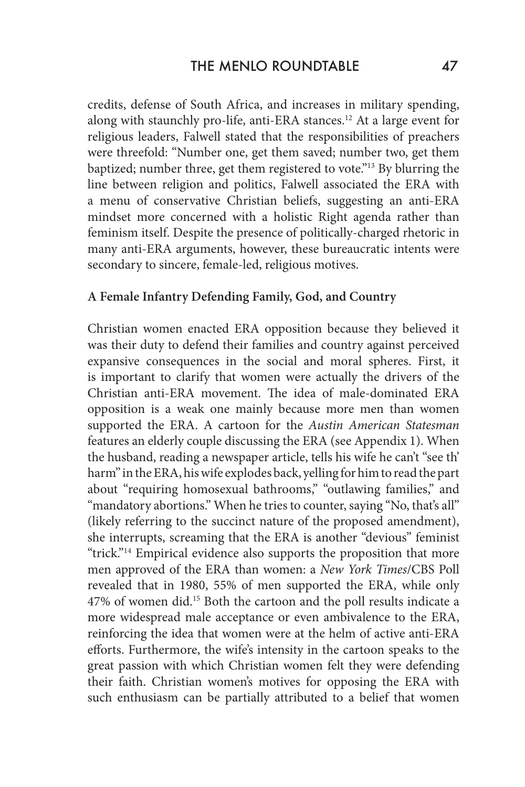credits, defense of South Africa, and increases in military spending, along with staunchly pro-life, anti-ERA stances.<sup>12</sup> At a large event for religious leaders, Falwell stated that the responsibilities of preachers were threefold: "Number one, get them saved; number two, get them baptized; number three, get them registered to vote."<sup>13</sup> By blurring the line between religion and politics, Falwell associated the ERA with a menu of conservative Christian beliefs, suggesting an anti-ERA mindset more concerned with a holistic Right agenda rather than feminism itself. Despite the presence of politically-charged rhetoric in many anti-ERA arguments, however, these bureaucratic intents were secondary to sincere, female-led, religious motives.

#### **A Female Infantry Defending Family, God, and Country**

Christian women enacted ERA opposition because they believed it was their duty to defend their families and country against perceived expansive consequences in the social and moral spheres. First, it is important to clarify that women were actually the drivers of the Christian anti-ERA movement. The idea of male-dominated ERA opposition is a weak one mainly because more men than women supported the ERA. A cartoon for the *Austin American Statesman*  features an elderly couple discussing the ERA (see Appendix 1). When the husband, reading a newspaper article, tells his wife he can't "see th' harm" in the ERA, his wife explodes back, yelling for him to read the part about "requiring homosexual bathrooms," "outlawing families," and "mandatory abortions." When he tries to counter, saying "No, that's all" (likely referring to the succinct nature of the proposed amendment), she interrupts, screaming that the ERA is another "devious" feminist "trick."<sup>14</sup> Empirical evidence also supports the proposition that more men approved of the ERA than women: a *New York Times*/CBS Poll revealed that in 1980, 55% of men supported the ERA, while only 47% of women did.15 Both the cartoon and the poll results indicate a more widespread male acceptance or even ambivalence to the ERA, reinforcing the idea that women were at the helm of active anti-ERA efforts. Furthermore, the wife's intensity in the cartoon speaks to the great passion with which Christian women felt they were defending their faith. Christian women's motives for opposing the ERA with such enthusiasm can be partially attributed to a belief that women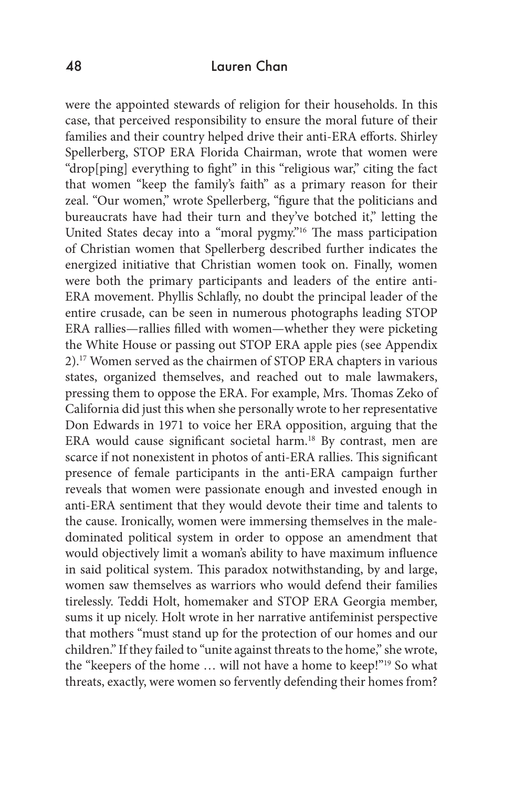were the appointed stewards of religion for their households. In this case, that perceived responsibility to ensure the moral future of their families and their country helped drive their anti-ERA efforts. Shirley Spellerberg, STOP ERA Florida Chairman, wrote that women were "drop[ping] everything to fight" in this "religious war," citing the fact that women "keep the family's faith" as a primary reason for their zeal. "Our women," wrote Spellerberg, "figure that the politicians and bureaucrats have had their turn and they've botched it," letting the United States decay into a "moral pygmy."16 The mass participation of Christian women that Spellerberg described further indicates the energized initiative that Christian women took on. Finally, women were both the primary participants and leaders of the entire anti-ERA movement. Phyllis Schlafly, no doubt the principal leader of the entire crusade, can be seen in numerous photographs leading STOP ERA rallies—rallies filled with women—whether they were picketing the White House or passing out STOP ERA apple pies (see Appendix 2). 17 Women served as the chairmen of STOP ERA chapters in various states, organized themselves, and reached out to male lawmakers, pressing them to oppose the ERA. For example, Mrs. Thomas Zeko of California did just this when she personally wrote to her representative Don Edwards in 1971 to voice her ERA opposition, arguing that the ERA would cause significant societal harm.<sup>18</sup> By contrast, men are scarce if not nonexistent in photos of anti-ERA rallies. This significant presence of female participants in the anti-ERA campaign further reveals that women were passionate enough and invested enough in anti-ERA sentiment that they would devote their time and talents to the cause. Ironically, women were immersing themselves in the maledominated political system in order to oppose an amendment that would objectively limit a woman's ability to have maximum influence in said political system. This paradox notwithstanding, by and large, women saw themselves as warriors who would defend their families tirelessly. Teddi Holt, homemaker and STOP ERA Georgia member, sums it up nicely. Holt wrote in her narrative antifeminist perspective that mothers "must stand up for the protection of our homes and our children." If they failed to "unite against threats to the home," she wrote, the "keepers of the home … will not have a home to keep!"19 So what threats, exactly, were women so fervently defending their homes from?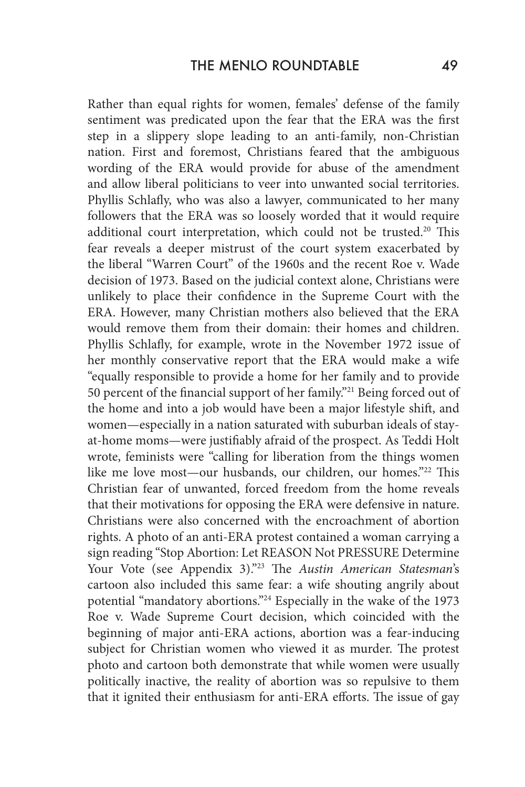Rather than equal rights for women, females' defense of the family sentiment was predicated upon the fear that the ERA was the first step in a slippery slope leading to an anti-family, non-Christian nation. First and foremost, Christians feared that the ambiguous wording of the ERA would provide for abuse of the amendment and allow liberal politicians to veer into unwanted social territories. Phyllis Schlafly, who was also a lawyer, communicated to her many followers that the ERA was so loosely worded that it would require additional court interpretation, which could not be trusted.<sup>20</sup> This fear reveals a deeper mistrust of the court system exacerbated by the liberal "Warren Court" of the 1960s and the recent Roe v. Wade decision of 1973. Based on the judicial context alone, Christians were unlikely to place their confidence in the Supreme Court with the ERA. However, many Christian mothers also believed that the ERA would remove them from their domain: their homes and children. Phyllis Schlafly, for example, wrote in the November 1972 issue of her monthly conservative report that the ERA would make a wife "equally responsible to provide a home for her family and to provide 50 percent of the financial support of her family."21 Being forced out of the home and into a job would have been a major lifestyle shift, and women—especially in a nation saturated with suburban ideals of stayat-home moms—were justifiably afraid of the prospect. As Teddi Holt wrote, feminists were "calling for liberation from the things women like me love most—our husbands, our children, our homes."22 This Christian fear of unwanted, forced freedom from the home reveals that their motivations for opposing the ERA were defensive in nature. Christians were also concerned with the encroachment of abortion rights. A photo of an anti-ERA protest contained a woman carrying a sign reading "Stop Abortion: Let REASON Not PRESSURE Determine Your Vote (see Appendix 3)."23 The *Austin American Statesman*'s cartoon also included this same fear: a wife shouting angrily about potential "mandatory abortions."24 Especially in the wake of the 1973 Roe v. Wade Supreme Court decision, which coincided with the beginning of major anti-ERA actions, abortion was a fear-inducing subject for Christian women who viewed it as murder. The protest photo and cartoon both demonstrate that while women were usually politically inactive, the reality of abortion was so repulsive to them that it ignited their enthusiasm for anti-ERA efforts. The issue of gay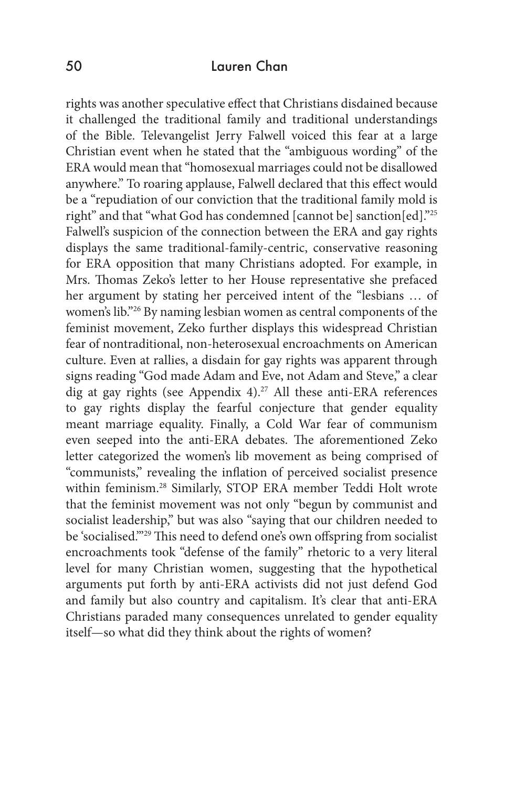rights was another speculative effect that Christians disdained because it challenged the traditional family and traditional understandings of the Bible. Televangelist Jerry Falwell voiced this fear at a large Christian event when he stated that the "ambiguous wording" of the ERA would mean that "homosexual marriages could not be disallowed anywhere." To roaring applause, Falwell declared that this effect would be a "repudiation of our conviction that the traditional family mold is right" and that "what God has condemned [cannot be] sanction[ed]."25 Falwell's suspicion of the connection between the ERA and gay rights displays the same traditional-family-centric, conservative reasoning for ERA opposition that many Christians adopted. For example, in Mrs. Thomas Zeko's letter to her House representative she prefaced her argument by stating her perceived intent of the "lesbians … of women's lib."26 By naming lesbian women as central components of the feminist movement, Zeko further displays this widespread Christian fear of nontraditional, non-heterosexual encroachments on American culture. Even at rallies, a disdain for gay rights was apparent through signs reading "God made Adam and Eve, not Adam and Steve," a clear dig at gay rights (see Appendix 4). 27 All these anti-ERA references to gay rights display the fearful conjecture that gender equality meant marriage equality. Finally, a Cold War fear of communism even seeped into the anti-ERA debates. The aforementioned Zeko letter categorized the women's lib movement as being comprised of "communists," revealing the inflation of perceived socialist presence within feminism.28 Similarly, STOP ERA member Teddi Holt wrote that the feminist movement was not only "begun by communist and socialist leadership," but was also "saying that our children needed to be 'socialised.'"29 This need to defend one's own offspring from socialist encroachments took "defense of the family" rhetoric to a very literal level for many Christian women, suggesting that the hypothetical arguments put forth by anti-ERA activists did not just defend God and family but also country and capitalism. It's clear that anti-ERA Christians paraded many consequences unrelated to gender equality itself—so what did they think about the rights of women?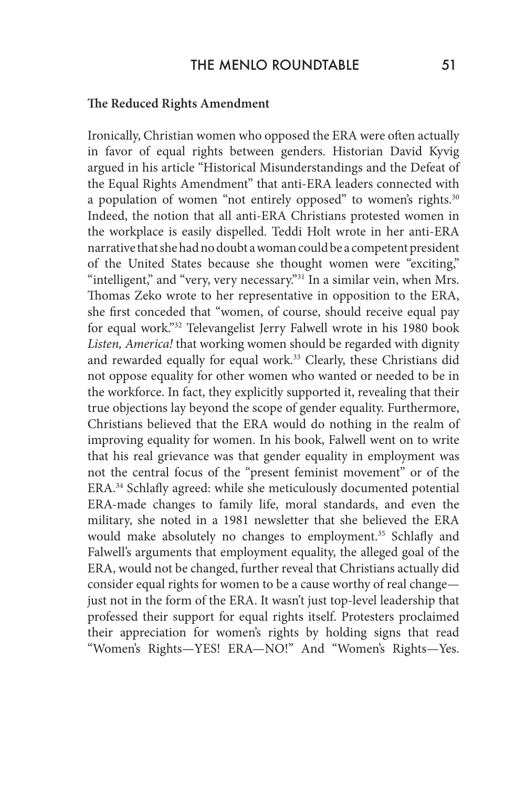#### **The Reduced Rights Amendment**

Ironically, Christian women who opposed the ERA were often actually in favor of equal rights between genders. Historian David Kyvig argued in his article "Historical Misunderstandings and the Defeat of the Equal Rights Amendment" that anti-ERA leaders connected with a population of women "not entirely opposed" to women's rights.<sup>30</sup> Indeed, the notion that all anti-ERA Christians protested women in the workplace is easily dispelled. Teddi Holt wrote in her anti-ERA narrative that she had no doubt a woman could be a competent president of the United States because she thought women were "exciting," "intelligent," and "very, very necessary."<sup>31</sup> In a similar vein, when Mrs. Thomas Zeko wrote to her representative in opposition to the ERA, she first conceded that "women, of course, should receive equal pay for equal work."32 Televangelist Jerry Falwell wrote in his 1980 book *Listen, America!* that working women should be regarded with dignity and rewarded equally for equal work.<sup>33</sup> Clearly, these Christians did not oppose equality for other women who wanted or needed to be in the workforce. In fact, they explicitly supported it, revealing that their true objections lay beyond the scope of gender equality. Furthermore, Christians believed that the ERA would do nothing in the realm of improving equality for women. In his book, Falwell went on to write that his real grievance was that gender equality in employment was not the central focus of the "present feminist movement" or of the ERA.34 Schlafly agreed: while she meticulously documented potential ERA-made changes to family life, moral standards, and even the military, she noted in a 1981 newsletter that she believed the ERA would make absolutely no changes to employment.<sup>35</sup> Schlafly and Falwell's arguments that employment equality, the alleged goal of the ERA, would not be changed, further reveal that Christians actually did consider equal rights for women to be a cause worthy of real change just not in the form of the ERA. It wasn't just top-level leadership that professed their support for equal rights itself. Protesters proclaimed their appreciation for women's rights by holding signs that read "Women's Rights—YES! ERA—NO!" And "Women's Rights—Yes.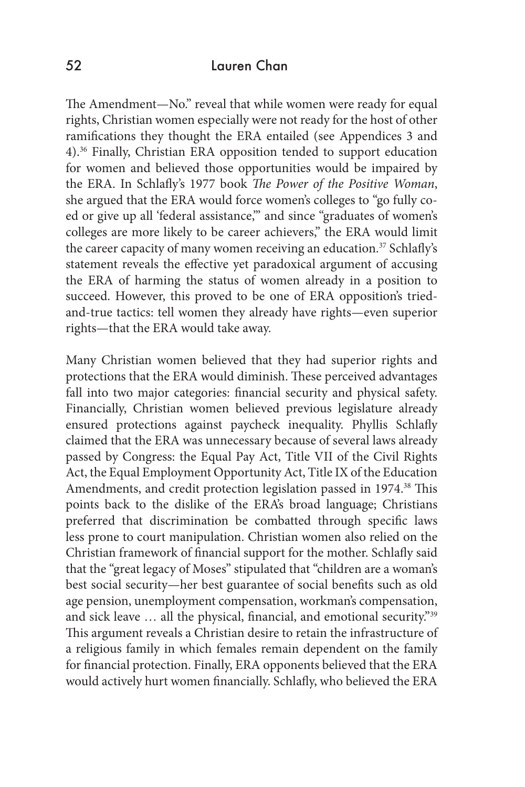The Amendment—No." reveal that while women were ready for equal rights, Christian women especially were not ready for the host of other ramifications they thought the ERA entailed (see Appendices 3 and 4). 36 Finally, Christian ERA opposition tended to support education for women and believed those opportunities would be impaired by the ERA. In Schlafly's 1977 book *The Power of the Positive Woman*, she argued that the ERA would force women's colleges to "go fully coed or give up all 'federal assistance,'" and since "graduates of women's colleges are more likely to be career achievers," the ERA would limit the career capacity of many women receiving an education.<sup>37</sup> Schlafly's statement reveals the effective yet paradoxical argument of accusing the ERA of harming the status of women already in a position to succeed. However, this proved to be one of ERA opposition's triedand-true tactics: tell women they already have rights—even superior rights—that the ERA would take away.

Many Christian women believed that they had superior rights and protections that the ERA would diminish. These perceived advantages fall into two major categories: financial security and physical safety. Financially, Christian women believed previous legislature already ensured protections against paycheck inequality. Phyllis Schlafly claimed that the ERA was unnecessary because of several laws already passed by Congress: the Equal Pay Act, Title VII of the Civil Rights Act, the Equal Employment Opportunity Act, Title IX of the Education Amendments, and credit protection legislation passed in 1974.<sup>38</sup> This points back to the dislike of the ERA's broad language; Christians preferred that discrimination be combatted through specific laws less prone to court manipulation. Christian women also relied on the Christian framework of financial support for the mother. Schlafly said that the "great legacy of Moses" stipulated that "children are a woman's best social security—her best guarantee of social benefits such as old age pension, unemployment compensation, workman's compensation, and sick leave … all the physical, financial, and emotional security."39 This argument reveals a Christian desire to retain the infrastructure of a religious family in which females remain dependent on the family for financial protection. Finally, ERA opponents believed that the ERA would actively hurt women financially. Schlafly, who believed the ERA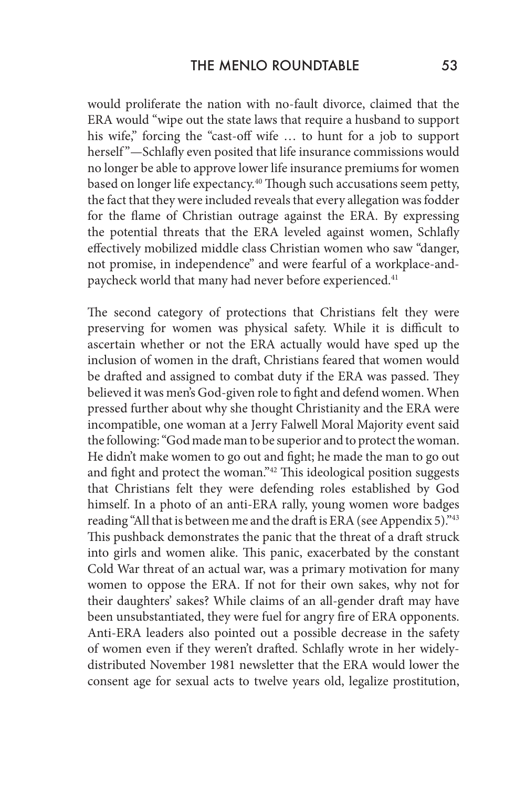would proliferate the nation with no-fault divorce, claimed that the ERA would "wipe out the state laws that require a husband to support his wife," forcing the "cast-off wife … to hunt for a job to support herself"-Schlafly even posited that life insurance commissions would no longer be able to approve lower life insurance premiums for women based on longer life expectancy.<sup>40</sup> Though such accusations seem petty, the fact that they were included reveals that every allegation was fodder for the flame of Christian outrage against the ERA. By expressing the potential threats that the ERA leveled against women, Schlafly effectively mobilized middle class Christian women who saw "danger, not promise, in independence" and were fearful of a workplace-andpaycheck world that many had never before experienced.<sup>41</sup>

The second category of protections that Christians felt they were preserving for women was physical safety. While it is difficult to ascertain whether or not the ERA actually would have sped up the inclusion of women in the draft, Christians feared that women would be drafted and assigned to combat duty if the ERA was passed. They believed it was men's God-given role to fight and defend women. When pressed further about why she thought Christianity and the ERA were incompatible, one woman at a Jerry Falwell Moral Majority event said the following: "God made man to be superior and to protect the woman. He didn't make women to go out and fight; he made the man to go out and fight and protect the woman."42 This ideological position suggests that Christians felt they were defending roles established by God himself. In a photo of an anti-ERA rally, young women wore badges reading "All that is between me and the draft is ERA (see Appendix 5)."43 This pushback demonstrates the panic that the threat of a draft struck into girls and women alike. This panic, exacerbated by the constant Cold War threat of an actual war, was a primary motivation for many women to oppose the ERA. If not for their own sakes, why not for their daughters' sakes? While claims of an all-gender draft may have been unsubstantiated, they were fuel for angry fire of ERA opponents. Anti-ERA leaders also pointed out a possible decrease in the safety of women even if they weren't drafted. Schlafly wrote in her widelydistributed November 1981 newsletter that the ERA would lower the consent age for sexual acts to twelve years old, legalize prostitution,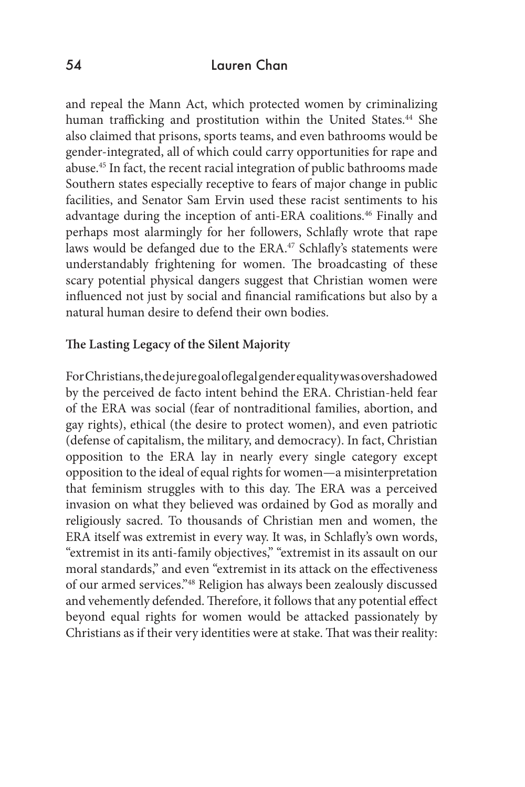and repeal the Mann Act, which protected women by criminalizing human trafficking and prostitution within the United States.<sup>44</sup> She also claimed that prisons, sports teams, and even bathrooms would be gender-integrated, all of which could carry opportunities for rape and abuse.45 In fact, the recent racial integration of public bathrooms made Southern states especially receptive to fears of major change in public facilities, and Senator Sam Ervin used these racist sentiments to his advantage during the inception of anti-ERA coalitions.<sup>46</sup> Finally and perhaps most alarmingly for her followers, Schlafly wrote that rape laws would be defanged due to the ERA.<sup>47</sup> Schlafly's statements were understandably frightening for women. The broadcasting of these scary potential physical dangers suggest that Christian women were influenced not just by social and financial ramifications but also by a natural human desire to defend their own bodies.

#### **The Lasting Legacy of the Silent Majority**

For Christians, the de jure goal of legal gender equality was overshadowed by the perceived de facto intent behind the ERA. Christian-held fear of the ERA was social (fear of nontraditional families, abortion, and gay rights), ethical (the desire to protect women), and even patriotic (defense of capitalism, the military, and democracy). In fact, Christian opposition to the ERA lay in nearly every single category except opposition to the ideal of equal rights for women—a misinterpretation that feminism struggles with to this day. The ERA was a perceived invasion on what they believed was ordained by God as morally and religiously sacred. To thousands of Christian men and women, the ERA itself was extremist in every way. It was, in Schlafly's own words, "extremist in its anti-family objectives," "extremist in its assault on our moral standards," and even "extremist in its attack on the effectiveness of our armed services."48 Religion has always been zealously discussed and vehemently defended. Therefore, it follows that any potential effect beyond equal rights for women would be attacked passionately by Christians as if their very identities were at stake. That was their reality: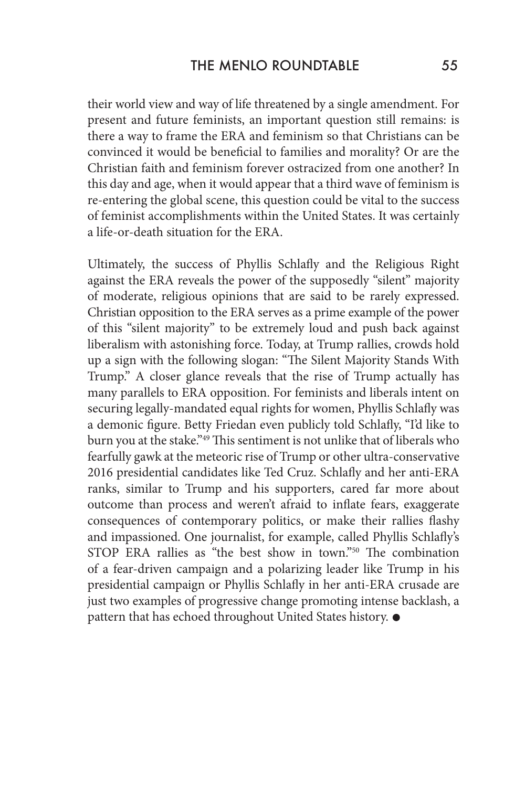their world view and way of life threatened by a single amendment. For present and future feminists, an important question still remains: is there a way to frame the ERA and feminism so that Christians can be convinced it would be beneficial to families and morality? Or are the Christian faith and feminism forever ostracized from one another? In this day and age, when it would appear that a third wave of feminism is re-entering the global scene, this question could be vital to the success of feminist accomplishments within the United States. It was certainly a life-or-death situation for the ERA.

Ultimately, the success of Phyllis Schlafly and the Religious Right against the ERA reveals the power of the supposedly "silent" majority of moderate, religious opinions that are said to be rarely expressed. Christian opposition to the ERA serves as a prime example of the power of this "silent majority" to be extremely loud and push back against liberalism with astonishing force. Today, at Trump rallies, crowds hold up a sign with the following slogan: "The Silent Majority Stands With Trump." A closer glance reveals that the rise of Trump actually has many parallels to ERA opposition. For feminists and liberals intent on securing legally-mandated equal rights for women, Phyllis Schlafly was a demonic figure. Betty Friedan even publicly told Schlafly, "I'd like to burn you at the stake."<sup>49</sup> This sentiment is not unlike that of liberals who fearfully gawk at the meteoric rise of Trump or other ultra-conservative 2016 presidential candidates like Ted Cruz. Schlafly and her anti-ERA ranks, similar to Trump and his supporters, cared far more about outcome than process and weren't afraid to inflate fears, exaggerate consequences of contemporary politics, or make their rallies flashy and impassioned. One journalist, for example, called Phyllis Schlafly's STOP ERA rallies as "the best show in town."50 The combination of a fear-driven campaign and a polarizing leader like Trump in his presidential campaign or Phyllis Schlafly in her anti-ERA crusade are just two examples of progressive change promoting intense backlash, a pattern that has echoed throughout United States history.  $\bullet$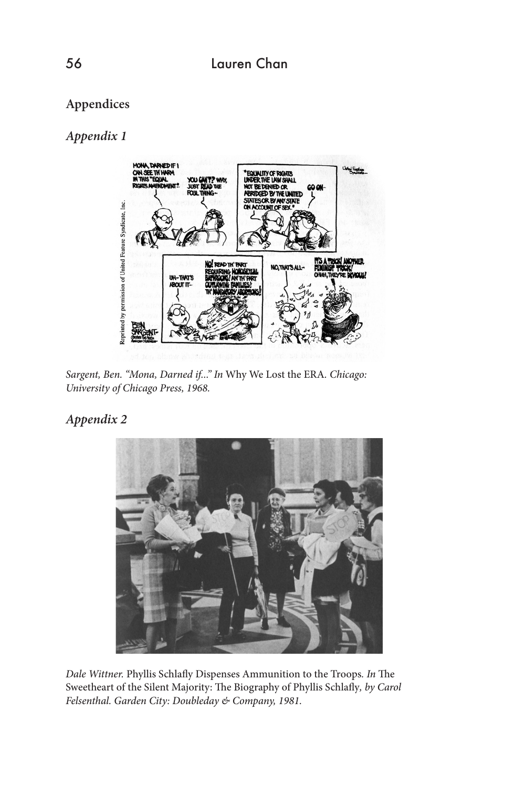## **Appendices**

## *Appendix 1*



*Sargent, Ben. "Mona, Darned if..." In* Why We Lost the ERA*. Chicago: University of Chicago Press, 1968.*

### *Appendix 2*



*Dale Wittner.* Phyllis Schlafly Dispenses Ammunition to the Troops*. In* The Sweetheart of the Silent Majority: The Biography of Phyllis Schlafly, by Carol *Felsenthal. Garden City: Doubleday & Company, 1981.*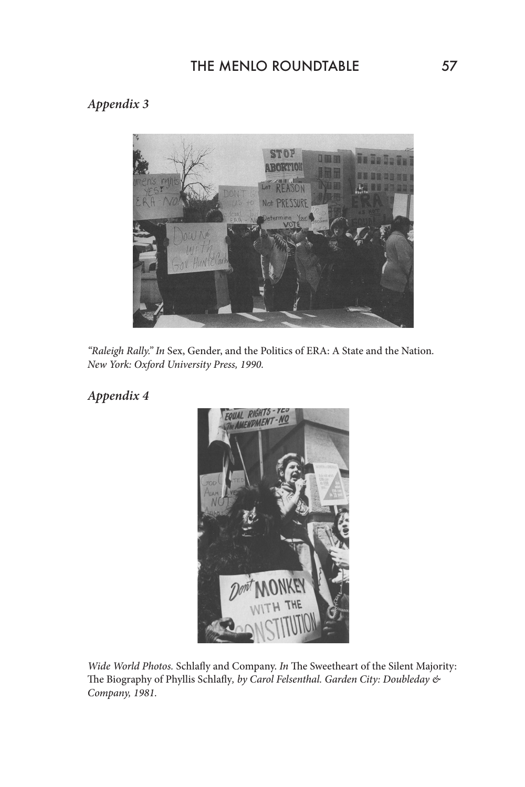# THE MENLO ROUNDTABLE 57

# *Appendix 3*



*"Raleigh Rally." In* Sex, Gender, and the Politics of ERA: A State and the Nation*. New York: Oxford University Press, 1990.*

# *Appendix 4*



*Wide World Photos.* Schlafly and Company. *In* The Sweetheart of the Silent Majority: The Biography of Phyllis Schlafly*, by Carol Felsenthal. Garden City: Doubleday & Company, 1981.*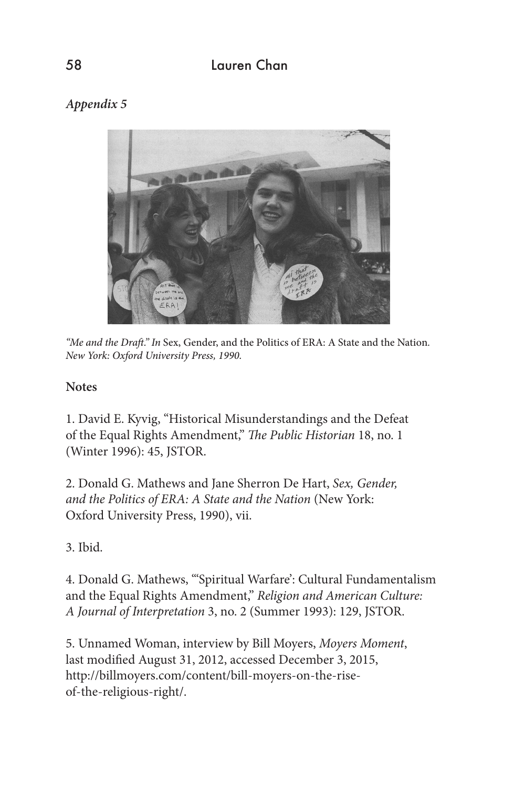# *Appendix 5*



*"Me and the Draft." In* Sex, Gender, and the Politics of ERA: A State and the Nation*. New York: Oxford University Press, 1990.*

## **Notes**

1. David E. Kyvig, "Historical Misunderstandings and the Defeat of the Equal Rights Amendment," *The Public Historian* 18, no. 1 (Winter 1996): 45, JSTOR.

2. Donald G. Mathews and Jane Sherron De Hart, *Sex, Gender, and the Politics of ERA: A State and the Nation* (New York: Oxford University Press, 1990), vii.

3. Ibid.

4. Donald G. Mathews, "'Spiritual Warfare': Cultural Fundamentalism and the Equal Rights Amendment," *Religion and American Culture: A Journal of Interpretation* 3, no. 2 (Summer 1993): 129, JSTOR.

5. Unnamed Woman, interview by Bill Moyers, *Moyers Moment*, last modified August 31, 2012, accessed December 3, 2015, http://billmoyers.com/content/bill-moyers-on-the-riseof-the-religious-right/.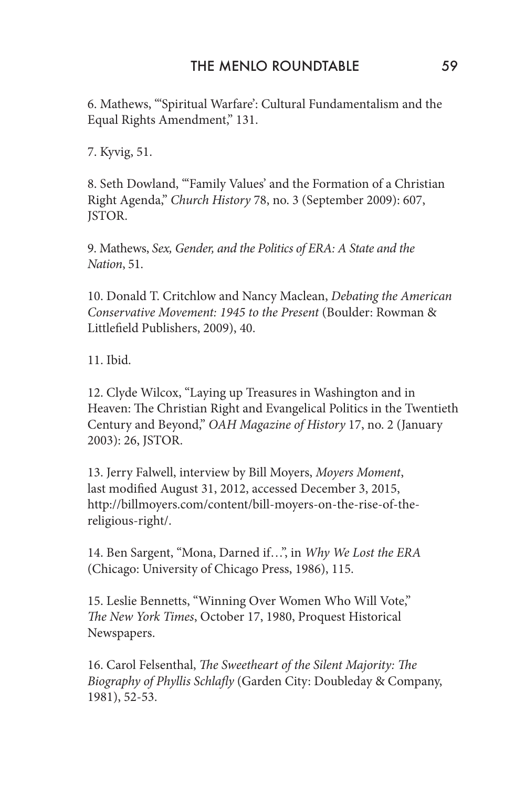6. Mathews, "'Spiritual Warfare': Cultural Fundamentalism and the Equal Rights Amendment," 131.

7. Kyvig, 51.

8. Seth Dowland, "'Family Values' and the Formation of a Christian Right Agenda," *Church History* 78, no. 3 (September 2009): 607, JSTOR.

9. Mathews, *Sex, Gender, and the Politics of ERA: A State and the Nation*, 51.

10. Donald T. Critchlow and Nancy Maclean, *Debating the American Conservative Movement: 1945 to the Present* (Boulder: Rowman & Littlefield Publishers, 2009), 40.

11. Ibid.

12. Clyde Wilcox, "Laying up Treasures in Washington and in Heaven: The Christian Right and Evangelical Politics in the Twentieth Century and Beyond," *OAH Magazine of History* 17, no. 2 (January 2003): 26, JSTOR.

13. Jerry Falwell, interview by Bill Moyers, *Moyers Moment*, last modified August 31, 2012, accessed December 3, 2015, http://billmoyers.com/content/bill-moyers-on-the-rise-of-thereligious-right/.

14. Ben Sargent, "Mona, Darned if…", in *Why We Lost the ERA* (Chicago: University of Chicago Press, 1986), 115.

15. Leslie Bennetts, "Winning Over Women Who Will Vote," *The New York Times*, October 17, 1980, Proquest Historical Newspapers.

16. Carol Felsenthal, *The Sweetheart of the Silent Majority: The Biography of Phyllis Schlafly* (Garden City: Doubleday & Company, 1981), 52-53.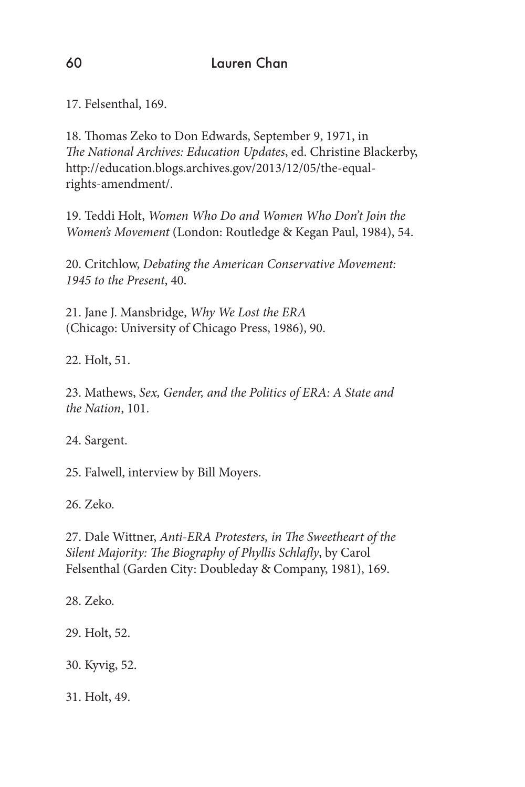17. Felsenthal, 169.

18. Thomas Zeko to Don Edwards, September 9, 1971, in *The National Archives: Education Updates*, ed. Christine Blackerby, http://education.blogs.archives.gov/2013/12/05/the-equalrights-amendment/.

19. Teddi Holt, *Women Who Do and Women Who Don't Join the Women's Movement* (London: Routledge & Kegan Paul, 1984), 54.

20. Critchlow, *Debating the American Conservative Movement: 1945 to the Present*, 40.

21. Jane J. Mansbridge, *Why We Lost the ERA* (Chicago: University of Chicago Press, 1986), 90.

22. Holt, 51.

23. Mathews, *Sex, Gender, and the Politics of ERA: A State and the Nation*, 101.

24. Sargent.

25. Falwell, interview by Bill Moyers.

26. Zeko.

27. Dale Wittner, *Anti-ERA Protesters, in The Sweetheart of the Silent Majority: The Biography of Phyllis Schlafly*, by Carol Felsenthal (Garden City: Doubleday & Company, 1981), 169.

28. Zeko.

29. Holt, 52.

30. Kyvig, 52.

31. Holt, 49.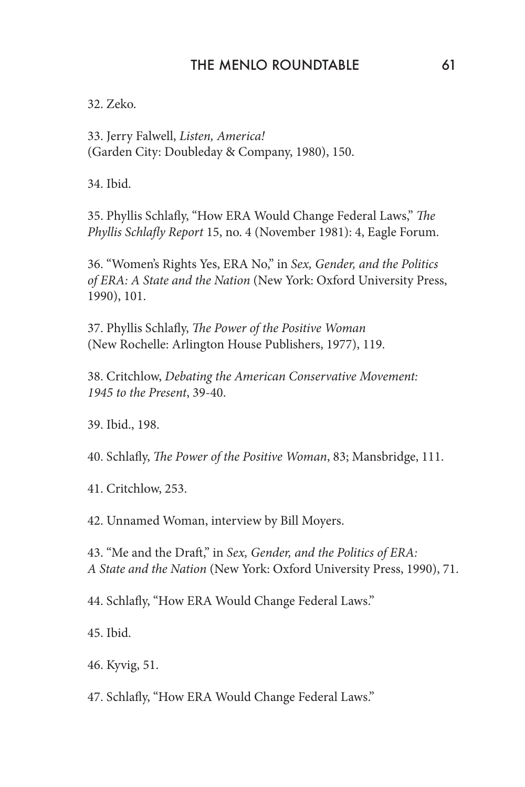32. Zeko.

33. Jerry Falwell, *Listen, America!* (Garden City: Doubleday & Company, 1980), 150.

34. Ibid.

35. Phyllis Schlafly, "How ERA Would Change Federal Laws," *The Phyllis Schlafly Report* 15, no. 4 (November 1981): 4, Eagle Forum.

36. "Women's Rights Yes, ERA No," in *Sex, Gender, and the Politics of ERA: A State and the Nation* (New York: Oxford University Press, 1990), 101.

37. Phyllis Schlafly, *The Power of the Positive Woman* (New Rochelle: Arlington House Publishers, 1977), 119.

38. Critchlow, *Debating the American Conservative Movement: 1945 to the Present*, 39-40.

39. Ibid., 198.

40. Schlafly, *The Power of the Positive Woman*, 83; Mansbridge, 111.

41. Critchlow, 253.

42. Unnamed Woman, interview by Bill Moyers.

43. "Me and the Draft," in *Sex, Gender, and the Politics of ERA: A State and the Nation* (New York: Oxford University Press, 1990), 71.

44. Schlafly, "How ERA Would Change Federal Laws."

45. Ibid.

46. Kyvig, 51.

47. Schlafly, "How ERA Would Change Federal Laws."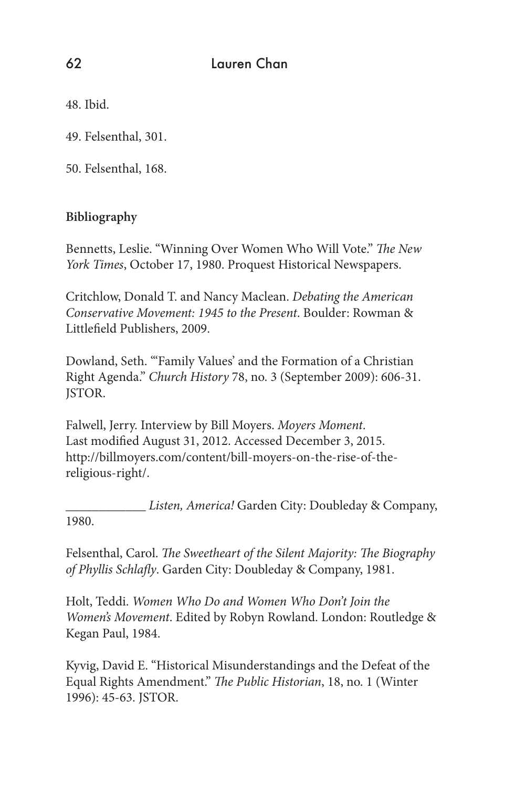48. Ibid.

49. Felsenthal, 301.

50. Felsenthal, 168.

## **Bibliography**

Bennetts, Leslie. "Winning Over Women Who Will Vote." *The New York Times*, October 17, 1980. Proquest Historical Newspapers.

Critchlow, Donald T. and Nancy Maclean. *Debating the American Conservative Movement: 1945 to the Present*. Boulder: Rowman & Littlefield Publishers, 2009.

Dowland, Seth. "'Family Values' and the Formation of a Christian Right Agenda." *Church History* 78, no. 3 (September 2009): 606-31. JSTOR.

Falwell, Jerry. Interview by Bill Moyers. *Moyers Moment*. Last modified August 31, 2012. Accessed December 3, 2015. http://billmoyers.com/content/bill-moyers-on-the-rise-of-thereligious-right/.

\_\_\_\_\_\_\_\_\_\_\_\_ *Listen, America!* Garden City: Doubleday & Company, 1980.

Felsenthal, Carol. *The Sweetheart of the Silent Majority: The Biography of Phyllis Schlafly*. Garden City: Doubleday & Company, 1981.

Holt, Teddi. *Women Who Do and Women Who Don't Join the Women's Movement*. Edited by Robyn Rowland. London: Routledge & Kegan Paul, 1984.

Kyvig, David E. "Historical Misunderstandings and the Defeat of the Equal Rights Amendment." *The Public Historian*, 18, no. 1 (Winter 1996): 45-63. JSTOR.